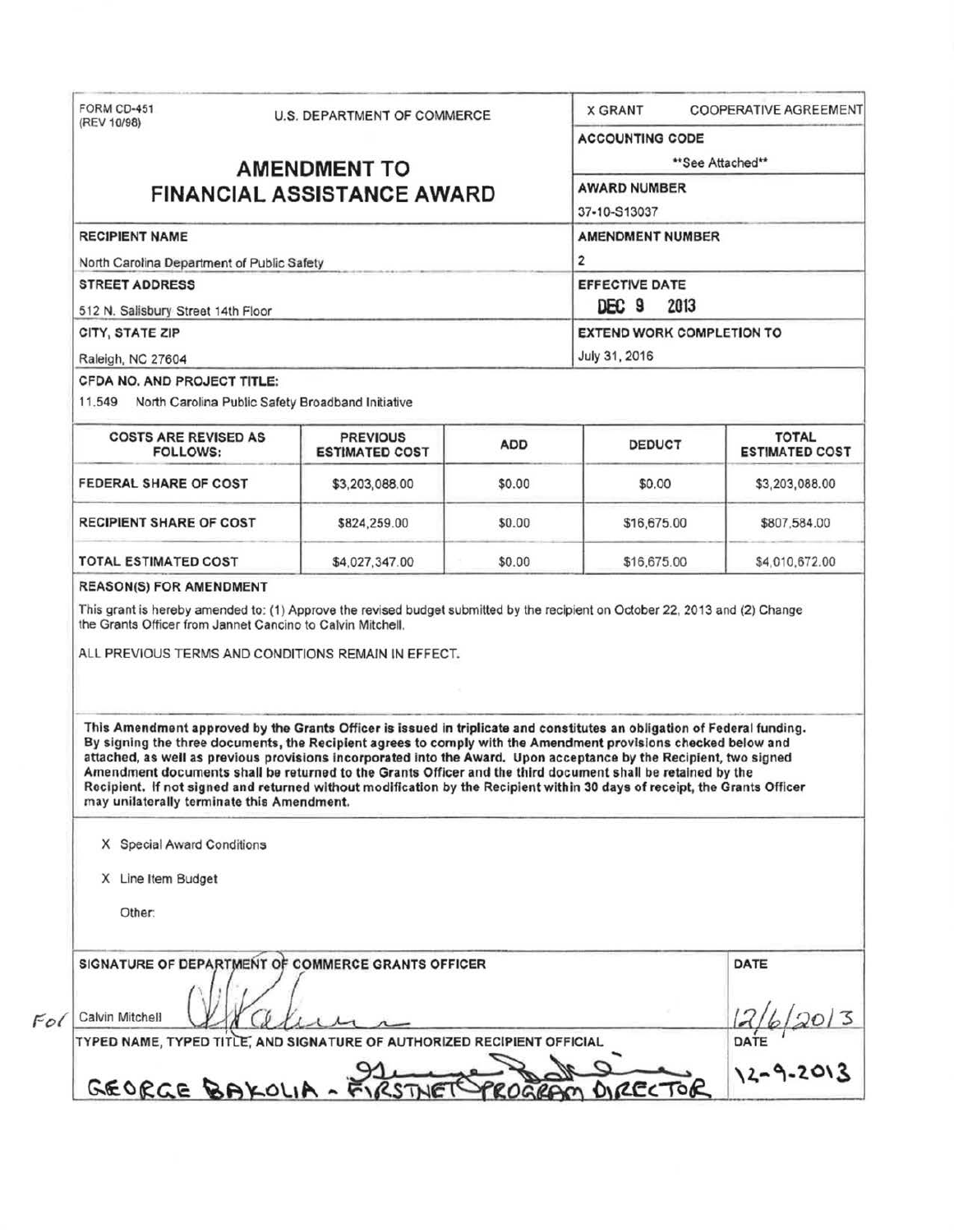| (REV 10/98)                                                                                                                                                                                                                                                                                                                                                                                                                                                                                                                                                                                                                                               | U.S. DEPARTMENT OF COMMERCE       |        | <b>COOPERATIVE AGREEMENT</b><br><b>X GRANT</b>                                        |                |  |                                                                                                |                                          |            |               |                                       |
|-----------------------------------------------------------------------------------------------------------------------------------------------------------------------------------------------------------------------------------------------------------------------------------------------------------------------------------------------------------------------------------------------------------------------------------------------------------------------------------------------------------------------------------------------------------------------------------------------------------------------------------------------------------|-----------------------------------|--------|---------------------------------------------------------------------------------------|----------------|--|------------------------------------------------------------------------------------------------|------------------------------------------|------------|---------------|---------------------------------------|
|                                                                                                                                                                                                                                                                                                                                                                                                                                                                                                                                                                                                                                                           |                                   |        | <b>ACCOUNTING CODE</b>                                                                |                |  |                                                                                                |                                          |            |               |                                       |
| <b>AMENDMENT TO</b>                                                                                                                                                                                                                                                                                                                                                                                                                                                                                                                                                                                                                                       |                                   |        | **See Attached**                                                                      |                |  |                                                                                                |                                          |            |               |                                       |
|                                                                                                                                                                                                                                                                                                                                                                                                                                                                                                                                                                                                                                                           | <b>FINANCIAL ASSISTANCE AWARD</b> |        | <b>AWARD NUMBER</b>                                                                   |                |  |                                                                                                |                                          |            |               |                                       |
|                                                                                                                                                                                                                                                                                                                                                                                                                                                                                                                                                                                                                                                           |                                   |        | 37-10-S13037                                                                          |                |  |                                                                                                |                                          |            |               |                                       |
| <b>RECIPIENT NAME</b>                                                                                                                                                                                                                                                                                                                                                                                                                                                                                                                                                                                                                                     |                                   |        | <b>AMENDMENT NUMBER</b>                                                               |                |  |                                                                                                |                                          |            |               |                                       |
| North Carolina Department of Public Safety<br><b>STREET ADDRESS</b><br>512 N. Salisbury Street 14th Floor<br>CITY, STATE ZIP                                                                                                                                                                                                                                                                                                                                                                                                                                                                                                                              |                                   |        | $\overline{2}$<br>EFFECTIVE DATE<br>DEC 9<br>2013<br><b>EXTEND WORK COMPLETION TO</b> |                |  |                                                                                                |                                          |            |               |                                       |
|                                                                                                                                                                                                                                                                                                                                                                                                                                                                                                                                                                                                                                                           |                                   |        |                                                                                       |                |  | Raleigh, NC 27604                                                                              |                                          |            | July 31, 2016 |                                       |
|                                                                                                                                                                                                                                                                                                                                                                                                                                                                                                                                                                                                                                                           |                                   |        |                                                                                       |                |  | <b>CFDA NO. AND PROJECT TITLE:</b><br>11.549 North Carolina Public Safety Broadband Initiative |                                          |            |               |                                       |
|                                                                                                                                                                                                                                                                                                                                                                                                                                                                                                                                                                                                                                                           |                                   |        |                                                                                       |                |  | <b>COSTS ARE REVISED AS</b><br><b>FOLLOWS:</b>                                                 | <b>PREVIOUS</b><br><b>ESTIMATED COST</b> | <b>ADD</b> | <b>DEDUCT</b> | <b>TOTAL</b><br><b>ESTIMATED COST</b> |
| FEDERAL SHARE OF COST                                                                                                                                                                                                                                                                                                                                                                                                                                                                                                                                                                                                                                     | \$3,203,088.00                    | \$0.00 | \$0.00                                                                                | \$3,203,088.00 |  |                                                                                                |                                          |            |               |                                       |
| <b>RECIPIENT SHARE OF COST</b>                                                                                                                                                                                                                                                                                                                                                                                                                                                                                                                                                                                                                            | \$824,259.00                      | \$0.00 | \$16,675.00                                                                           | \$807,584.00   |  |                                                                                                |                                          |            |               |                                       |
| TOTAL ESTIMATED COST                                                                                                                                                                                                                                                                                                                                                                                                                                                                                                                                                                                                                                      | \$4,027,347.00                    | \$0.00 | \$16,675.00                                                                           | \$4,010,672.00 |  |                                                                                                |                                          |            |               |                                       |
| <b>REASON(S) FOR AMENDMENT</b><br>This grant is hereby amended to: (1) Approve the revised budget submitted by the recipient on October 22, 2013 and (2) Change<br>the Grants Officer from Jannet Cancino to Calvin Mitchell.<br>ALL PREVIOUS TERMS AND CONDITIONS REMAIN IN EFFECT.                                                                                                                                                                                                                                                                                                                                                                      |                                   |        |                                                                                       |                |  |                                                                                                |                                          |            |               |                                       |
|                                                                                                                                                                                                                                                                                                                                                                                                                                                                                                                                                                                                                                                           |                                   |        |                                                                                       |                |  |                                                                                                |                                          |            |               |                                       |
| This Amendment approved by the Grants Officer is issued in triplicate and constitutes an obligation of Federal funding.<br>By signing the three documents, the Recipient agrees to comply with the Amendment provisions checked below and<br>attached, as well as previous provisions incorporated into the Award. Upon acceptance by the Recipient, two signed<br>Amendment documents shall be returned to the Grants Officer and the third document shall be retained by the<br>Recipient. If not signed and returned without modification by the Recipient within 30 days of receipt, the Grants Officer<br>may unilaterally terminate this Amendment. |                                   |        |                                                                                       |                |  |                                                                                                |                                          |            |               |                                       |
| X Special Award Conditions                                                                                                                                                                                                                                                                                                                                                                                                                                                                                                                                                                                                                                |                                   |        |                                                                                       |                |  |                                                                                                |                                          |            |               |                                       |
| X Line Item Budget                                                                                                                                                                                                                                                                                                                                                                                                                                                                                                                                                                                                                                        |                                   |        |                                                                                       |                |  |                                                                                                |                                          |            |               |                                       |
| Other:                                                                                                                                                                                                                                                                                                                                                                                                                                                                                                                                                                                                                                                    |                                   |        |                                                                                       |                |  |                                                                                                |                                          |            |               |                                       |
| SIGNATURE OF DEPARTMENT OF COMMERCE GRANTS OFFICER<br>Calvin Mitchell                                                                                                                                                                                                                                                                                                                                                                                                                                                                                                                                                                                     |                                   |        |                                                                                       | DATE           |  |                                                                                                |                                          |            |               |                                       |
|                                                                                                                                                                                                                                                                                                                                                                                                                                                                                                                                                                                                                                                           |                                   |        |                                                                                       |                |  |                                                                                                |                                          |            |               |                                       |
| TYPED NAME, TYPED TITLE, AND SIGNATURE OF AUTHORIZED RECIPIENT OFFICIAL                                                                                                                                                                                                                                                                                                                                                                                                                                                                                                                                                                                   |                                   |        |                                                                                       | DATE $12013$   |  |                                                                                                |                                          |            |               |                                       |